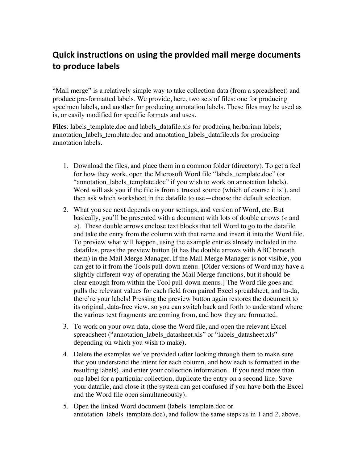## Quick instructions on using the provided mail merge documents to produce labels

"Mail merge" is a relatively simple way to take collection data (from a spreadsheet) and produce pre-formatted labels. We provide, here, two sets of files: one for producing specimen labels, and another for producing annotation labels. These files may be used as is, or easily modified for specific formats and uses.

**Files**: labels\_template.doc and labels\_datafile.xls for producing herbarium labels; annotation\_labels\_template.doc and annotation\_labels\_datafile.xls for producing annotation labels.

- 1. Download the files, and place them in a common folder (directory). To get a feel for how they work, open the Microsoft Word file "labels\_template.doc" (or "annotation\_labels\_template.doc" if you wish to work on annotation labels). Word will ask you if the file is from a trusted source (which of course it is!), and then ask which worksheet in the datafile to use—choose the default selection.
- 2. What you see next depends on your settings, and version of Word, etc. But basically, you'll be presented with a document with lots of double arrows (« and »). These double arrows enclose text blocks that tell Word to go to the datafile and take the entry from the column with that name and insert it into the Word file. To preview what will happen, using the example entries already included in the datafiles, press the preview button (it has the double arrows with ABC beneath them) in the Mail Merge Manager. If the Mail Merge Manager is not visible, you can get to it from the Tools pull-down menu. [Older versions of Word may have a slightly different way of operating the Mail Merge functions, but it should be clear enough from within the Tool pull-down menus.] The Word file goes and pulls the relevant values for each field from paired Excel spreadsheet, and ta-da, there're your labels! Pressing the preview button again restores the document to its original, data-free view, so you can switch back and forth to understand where the various text fragments are coming from, and how they are formatted.
- 3. To work on your own data, close the Word file, and open the relevant Excel spreadsheet ("annotation\_labels\_datasheet.xls" or "labels\_datasheet.xls" depending on which you wish to make).
- 4. Delete the examples we've provided (after looking through them to make sure that you understand the intent for each column, and how each is formatted in the resulting labels), and enter your collection information. If you need more than one label for a particular collection, duplicate the entry on a second line. Save your datafile, and close it (the system can get confused if you have both the Excel and the Word file open simultaneously).
- 5. Open the linked Word document (labels\_template.doc or annotation labels template.doc), and follow the same steps as in 1 and 2, above.